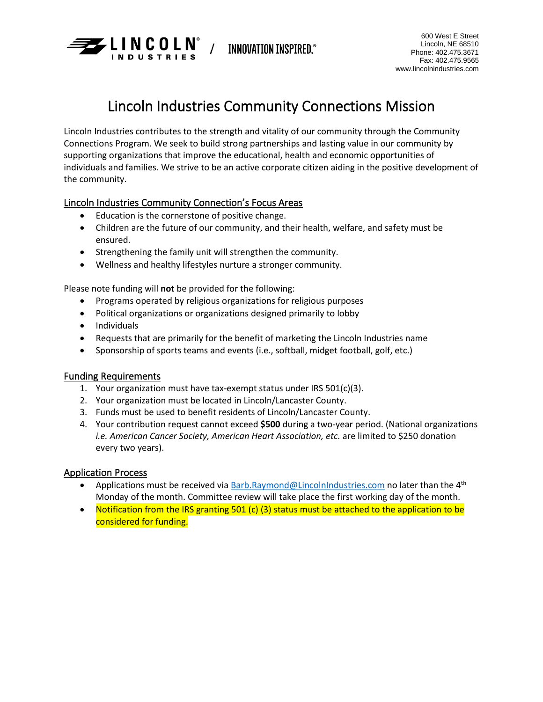

**INNOVATION INSPIRED.** 

# Lincoln Industries Community Connections Mission

Lincoln Industries contributes to the strength and vitality of our community through the Community Connections Program. We seek to build strong partnerships and lasting value in our community by supporting organizations that improve the educational, health and economic opportunities of individuals and families. We strive to be an active corporate citizen aiding in the positive development of the community.

## Lincoln Industries Community Connection's Focus Areas

- Education is the cornerstone of positive change.
- Children are the future of our community, and their health, welfare, and safety must be ensured.
- Strengthening the family unit will strengthen the community.
- Wellness and healthy lifestyles nurture a stronger community.

Please note funding will **not** be provided for the following:

- Programs operated by religious organizations for religious purposes
- Political organizations or organizations designed primarily to lobby
- Individuals
- Requests that are primarily for the benefit of marketing the Lincoln Industries name
- Sponsorship of sports teams and events (i.e., softball, midget football, golf, etc.)

### Funding Requirements

- 1. Your organization must have tax-exempt status under IRS 501(c)(3).
- 2. Your organization must be located in Lincoln/Lancaster County.
- 3. Funds must be used to benefit residents of Lincoln/Lancaster County.
- 4. Your contribution request cannot exceed **\$500** during a two-year period. (National organizations *i.e. American Cancer Society, American Heart Association, etc.* are limited to \$250 donation every two years).

### Application Process

- Applications must be received via  $\frac{Barb.Raymond@LincolnIndustries.com}{\text{holonto}}$  $\frac{Barb.Raymond@LincolnIndustries.com}{\text{holonto}}$  $\frac{Barb.Raymond@LincolnIndustries.com}{\text{holonto}}$  no later than the 4<sup>th</sup> Monday of the month. Committee review will take place the first working day of the month.
- Notification from the IRS granting 501 (c) (3) status must be attached to the application to be considered for funding.